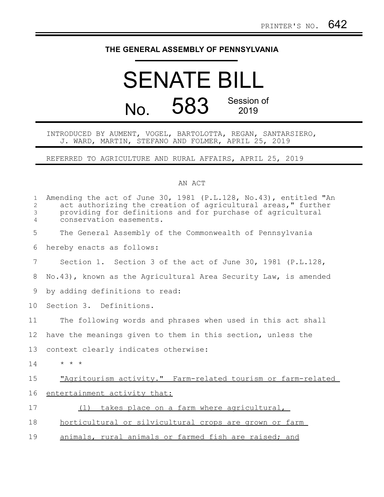## **THE GENERAL ASSEMBLY OF PENNSYLVANIA**

## SENATE BILL No. 583 Session of 2019

## INTRODUCED BY AUMENT, VOGEL, BARTOLOTTA, REGAN, SANTARSIERO, J. WARD, MARTIN, STEFANO AND FOLMER, APRIL 25, 2019

REFERRED TO AGRICULTURE AND RURAL AFFAIRS, APRIL 25, 2019

## AN ACT

| $\mathbf{1}$<br>$\overline{c}$<br>3<br>$\overline{4}$ | Amending the act of June 30, 1981 (P.L.128, No.43), entitled "An<br>act authorizing the creation of agricultural areas," further<br>providing for definitions and for purchase of agricultural<br>conservation easements. |  |  |  |
|-------------------------------------------------------|---------------------------------------------------------------------------------------------------------------------------------------------------------------------------------------------------------------------------|--|--|--|
| 5                                                     | The General Assembly of the Commonwealth of Pennsylvania                                                                                                                                                                  |  |  |  |
| 6                                                     | hereby enacts as follows:                                                                                                                                                                                                 |  |  |  |
| 7                                                     | Section 1. Section 3 of the act of June 30, 1981 (P.L.128,                                                                                                                                                                |  |  |  |
| 8                                                     | No.43), known as the Agricultural Area Security Law, is amended                                                                                                                                                           |  |  |  |
| 9                                                     | by adding definitions to read:                                                                                                                                                                                            |  |  |  |
| 10 <sub>o</sub>                                       | Section 3. Definitions.                                                                                                                                                                                                   |  |  |  |
| 11                                                    | The following words and phrases when used in this act shall                                                                                                                                                               |  |  |  |
| $12 \,$                                               | have the meanings given to them in this section, unless the                                                                                                                                                               |  |  |  |
| 13                                                    | context clearly indicates otherwise:                                                                                                                                                                                      |  |  |  |
| 14                                                    | $\star$ $\star$ $\star$                                                                                                                                                                                                   |  |  |  |
| 15                                                    | "Agritourism activity." Farm-related tourism or farm-related                                                                                                                                                              |  |  |  |
| 16                                                    | entertainment activity that:                                                                                                                                                                                              |  |  |  |
| 17                                                    | takes place on a farm where agricultural,<br>(1)                                                                                                                                                                          |  |  |  |
| 18                                                    | horticultural or silvicultural crops are grown or farm                                                                                                                                                                    |  |  |  |
| 19                                                    | animals, rural animals or farmed fish are raised; and                                                                                                                                                                     |  |  |  |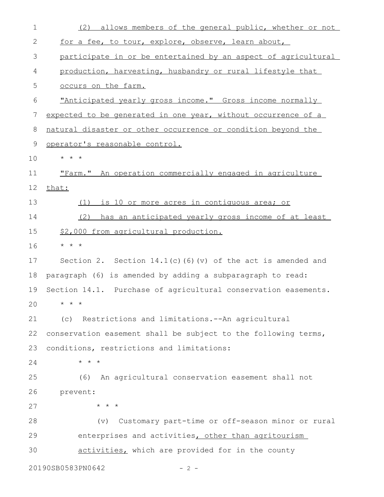| $\mathbf 1$ | allows members of the general public, whether or not<br>(2)     |  |  |  |
|-------------|-----------------------------------------------------------------|--|--|--|
| 2           | for a fee, to tour, explore, observe, learn about,              |  |  |  |
| 3           | participate in or be entertained by an aspect of agricultural   |  |  |  |
| 4           | production, harvesting, husbandry or rural lifestyle that       |  |  |  |
| 5           | occurs on the farm.                                             |  |  |  |
| 6           | <u>"Anticipated yearly gross income." Gross income normally</u> |  |  |  |
| 7           | expected to be generated in one year, without occurrence of a   |  |  |  |
| 8           | natural disaster or other occurrence or condition beyond the    |  |  |  |
| 9           | operator's reasonable control.                                  |  |  |  |
| 10          | $\star$ $\star$ $\star$                                         |  |  |  |
| 11          | "Farm." An operation commercially engaged in agriculture        |  |  |  |
| 12          | that:                                                           |  |  |  |
| 13          | is 10 or more acres in contiguous area; or<br>(1)               |  |  |  |
| 14          | has an anticipated yearly gross income of at least<br>(2)       |  |  |  |
| 15          | \$2,000 from agricultural production.                           |  |  |  |
| 16          | $\star$ $\star$ $\star$                                         |  |  |  |
| 17          | Section 2. Section $14.1(c)$ (6) (v) of the act is amended and  |  |  |  |
| 18          | paragraph (6) is amended by adding a subparagraph to read:      |  |  |  |
| 19          | Section 14.1. Purchase of agricultural conservation easements.  |  |  |  |
| 20          | $\star$ $\star$ $\star$                                         |  |  |  |
| 21          | (c) Restrictions and limitations. -- An agricultural            |  |  |  |
| 22          | conservation easement shall be subject to the following terms,  |  |  |  |
| 23          | conditions, restrictions and limitations:                       |  |  |  |
| 24          | $\star$ $\star$ $\star$                                         |  |  |  |
| 25          | An agricultural conservation easement shall not<br>(6)          |  |  |  |
| 26          | prevent:                                                        |  |  |  |
| 27          | $\star$ $\star$ $\star$                                         |  |  |  |
| 28          | Customary part-time or off-season minor or rural<br>(v)         |  |  |  |
| 29          | enterprises and activities, other than agritourism              |  |  |  |
| 30          | activities, which are provided for in the county                |  |  |  |
|             | 20190SB0583PN0642<br>- 2 -                                      |  |  |  |